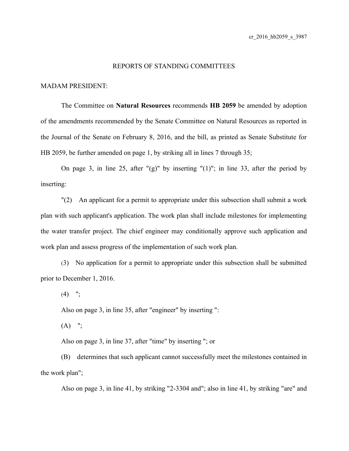## REPORTS OF STANDING COMMITTEES

## MADAM PRESIDENT:

The Committee on **Natural Resources** recommends **HB 2059** be amended by adoption of the amendments recommended by the Senate Committee on Natural Resources as reported in the Journal of the Senate on February 8, 2016, and the bill, as printed as Senate Substitute for HB 2059, be further amended on page 1, by striking all in lines 7 through 35;

On page 3, in line 25, after " $(g)$ " by inserting " $(1)$ "; in line 33, after the period by inserting:

"(2) An applicant for a permit to appropriate under this subsection shall submit a work plan with such applicant's application. The work plan shall include milestones for implementing the water transfer project. The chief engineer may conditionally approve such application and work plan and assess progress of the implementation of such work plan.

(3) No application for a permit to appropriate under this subsection shall be submitted prior to December 1, 2016.

 $(4)$  ";

Also on page 3, in line 35, after "engineer" by inserting ":

 $(A)$  ";

Also on page 3, in line 37, after "time" by inserting "; or

(B) determines that such applicant cannot successfully meet the milestones contained in the work plan";

Also on page 3, in line 41, by striking "2-3304 and"; also in line 41, by striking "are" and